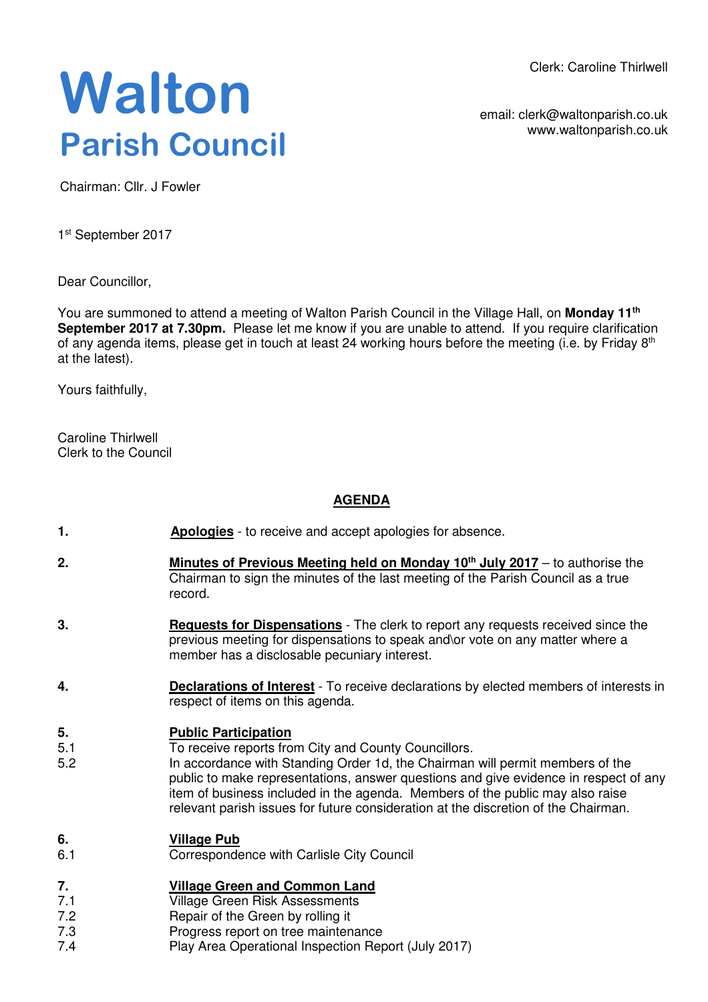Clerk: Caroline Thirlwell

# **Walton Parish Council**

email: clerk@waltonparish.co.uk www.waltonparish.co.uk

Chairman: Cllr. J Fowler

1<sup>st</sup> September 2017

Dear Councillor,

You are summoned to attend a meeting of Walton Parish Council in the Village Hall, on **Monday 11th September 2017 at 7.30pm.** Please let me know if you are unable to attend. If you require clarification of any agenda items, please get in touch at least 24 working hours before the meeting (i.e. by Friday 8<sup>th</sup> at the latest).

Yours faithfully,

Caroline Thirlwell Clerk to the Council

## **AGENDA**

- **1. Apologies** to receive and accept apologies for absence.
- **2. Minutes of Previous Meeting held on Monday 10th July 2017** to authorise the Chairman to sign the minutes of the last meeting of the Parish Council as a true record.
- **3. Requests for Dispensations** The clerk to report any requests received since the previous meeting for dispensations to speak and\or vote on any matter where a member has a disclosable pecuniary interest.
- **4. Declarations of Interest** To receive declarations by elected members of interests in respect of items on this agenda.

#### **5. Public Participation**

- 5.1 To receive reports from City and County Councillors.
- 5.2 In accordance with Standing Order 1d, the Chairman will permit members of the public to make representations, answer questions and give evidence in respect of any item of business included in the agenda. Members of the public may also raise relevant parish issues for future consideration at the discretion of the Chairman.

#### **6. Village Pub**

6.1 Correspondence with Carlisle City Council

#### **7. Village Green and Common Land**

- 7.1 Village Green Risk Assessments
- 7.2 Repair of the Green by rolling it
- 7.3 Progress report on tree maintenance
- 7.4 Play Area Operational Inspection Report (July 2017)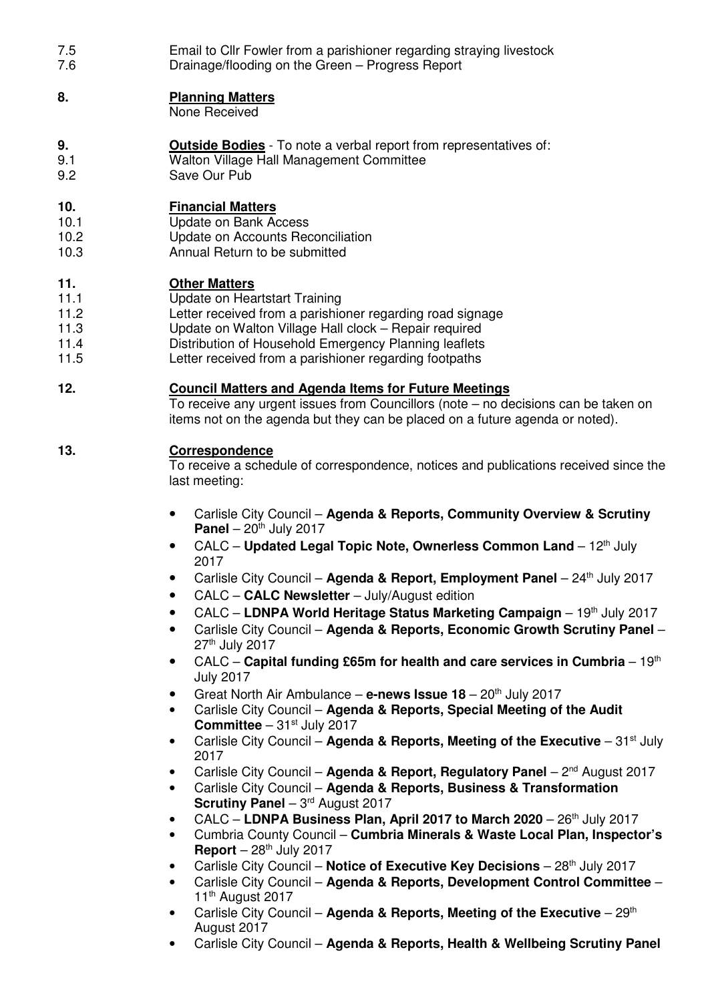7.5 7.6 Email to Cllr Fowler from a parishioner regarding straying livestock Drainage/flooding on the Green – Progress Report

#### **8. Planning Matters**

None Received

- **9. Outside Bodies** To note a verbal report from representatives of:
- 9.1 Walton Village Hall Management Committee<br>9.2 Save Our Pub
- Save Our Pub

# **10. Financial Matters**

- 10.1 Update on Bank Access
- 10.2 Update on Accounts Reconciliation
- 10.3 Annual Return to be submitted

## **11. Other Matters**

- 11.1 Update on Heartstart Training
- 11.2 Letter received from a parishioner regarding road signage
- 11.3 Update on Walton Village Hall clock Repair required
- 11.4 Distribution of Household Emergency Planning leaflets
- 11.5 Letter received from a parishioner regarding footpaths

## **12. Council Matters and Agenda Items for Future Meetings**

To receive any urgent issues from Councillors (note – no decisions can be taken on items not on the agenda but they can be placed on a future agenda or noted).

# **13. Correspondence**

To receive a schedule of correspondence, notices and publications received since the last meeting:

- Carlisle City Council **Agenda & Reports, Community Overview & Scrutiny Panel**  $-20^{th}$  July 2017
- CALC **Updated Legal Topic Note, Ownerless Common Land** 12<sup>th</sup> July 2017
- Carlisle City Council Agenda & Report, Employment Panel 24<sup>th</sup> July 2017
- CALC **CALC Newsletter** July/August edition
- CALC LDNPA World Heritage Status Marketing Campaign 19<sup>th</sup> July 2017
- Carlisle City Council **Agenda & Reports, Economic Growth Scrutiny Panel**  27th July 2017
- CALC **Capital funding £65m for health and care services in Cumbria** 19<sup>th</sup> July 2017
- Great North Air Ambulance e-news Issue 18 20<sup>th</sup> July 2017
- Carlisle City Council **Agenda & Reports, Special Meeting of the Audit Committee**  $-31$ <sup>st</sup> July 2017
- Carlisle City Council **Agenda & Reports, Meeting of the Executive** 31st July 2017
- Carlisle City Council **Agenda & Report, Regulatory Panel** 2nd August 2017
- Carlisle City Council **Agenda & Reports, Business & Transformation Scrutiny Panel – 3rd August 2017**
- CALC **LDNPA Business Plan, April 2017 to March 2020** 26th July 2017
- Cumbria County Council **Cumbria Minerals & Waste Local Plan, Inspector's Report**  $-28$ <sup>th</sup> July 2017
- Carlisle City Council Notice of Executive Key Decisions 28<sup>th</sup> July 2017
- Carlisle City Council **Agenda & Reports, Development Control Committee** 11<sup>th</sup> August 2017
- Carlisle City Council Agenda & Reports, Meeting of the Executive 29<sup>th</sup> August 2017
- Carlisle City Council **Agenda & Reports, Health & Wellbeing Scrutiny Panel**